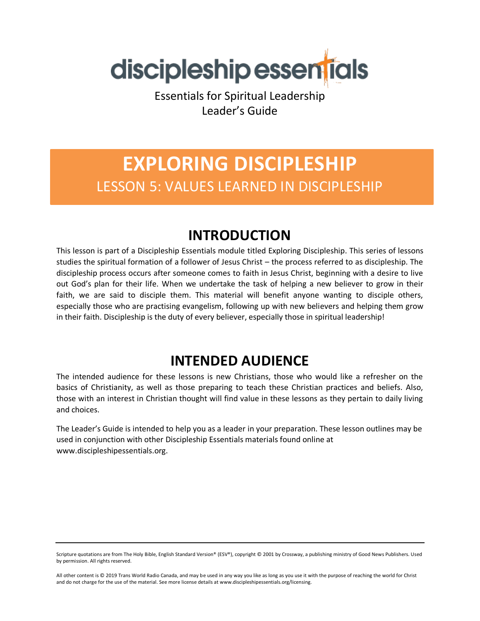

Essentials for Spiritual Leadership Leader's Guide

# **EXPLORING DISCIPLESHIP** LESSON 5: VALUES LEARNED IN DISCIPLESHIP

### **INTRODUCTION**

This lesson is part of a Discipleship Essentials module titled Exploring Discipleship. This series of lessons studies the spiritual formation of a follower of Jesus Christ – the process referred to as discipleship. The discipleship process occurs after someone comes to faith in Jesus Christ, beginning with a desire to live out God's plan for their life. When we undertake the task of helping a new believer to grow in their faith, we are said to disciple them. This material will benefit anyone wanting to disciple others, especially those who are practising evangelism, following up with new believers and helping them grow in their faith. Discipleship is the duty of every believer, especially those in spiritual leadership!

### **INTENDED AUDIENCE**

The intended audience for these lessons is new Christians, those who would like a refresher on the basics of Christianity, as well as those preparing to teach these Christian practices and beliefs. Also, those with an interest in Christian thought will find value in these lessons as they pertain to daily living and choices.

The Leader's Guide is intended to help you as a leader in your preparation. These lesson outlines may be used in conjunction with other Discipleship Essentials materials found online at www.discipleshipessentials.org.

Scripture quotations are from The Holy Bible, English Standard Version® (ESV®), copyright © 2001 by Crossway, a publishing ministry of Good News Publishers. Used by permission. All rights reserved.

All other content is © 2019 Trans World Radio Canada, and may be used in any way you like as long as you use it with the purpose of reaching the world for Christ and do not charge for the use of the material. See more license details at www.discipleshipessentials.org/licensing.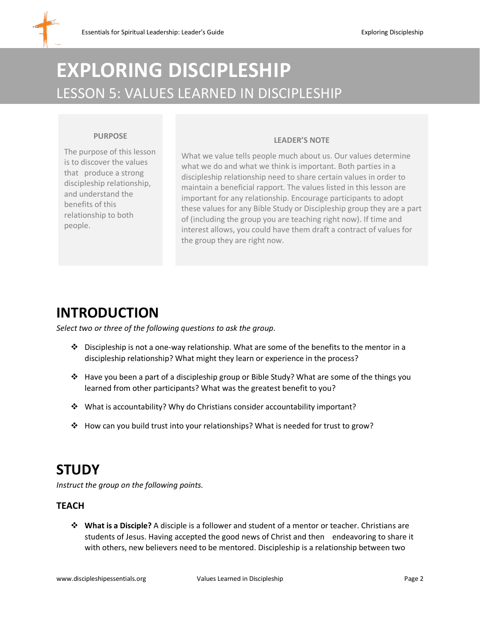# **EXPLORING DISCIPLESHIP** LESSON 5: VALUES LEARNED IN DISCIPLESHIP

#### **PURPOSE**

The purpose of this lesson is to discover the values that produce a strong discipleship relationship, and understand the benefits of this relationship to both people.

#### **LEADER'S NOTE**

What we value tells people much about us. Our values determine what we do and what we think is important. Both parties in a discipleship relationship need to share certain values in order to maintain a beneficial rapport. The values listed in this lesson are important for any relationship. Encourage participants to adopt these values for any Bible Study or Discipleship group they are a part of (including the group you are teaching right now). If time and interest allows, you could have them draft a contract of values for the group they are right now.

### **INTRODUCTION**

*Select two or three of the following questions to ask the group.*

- $\clubsuit$  Discipleship is not a one-way relationship. What are some of the benefits to the mentor in a discipleship relationship? What might they learn or experience in the process?
- ❖ Have you been a part of a discipleship group or Bible Study? What are some of the things you learned from other participants? What was the greatest benefit to you?
- ❖ What is accountability? Why do Christians consider accountability important?
- ❖ How can you build trust into your relationships? What is needed for trust to grow?

## **STUDY**

*Instruct the group on the following points.*

#### **TEACH**

❖ **What is a Disciple?** A disciple is a follower and student of a mentor or teacher. Christians are students of Jesus. Having accepted the good news of Christ and then endeavoring to share it with others, new believers need to be mentored. Discipleship is a relationship between two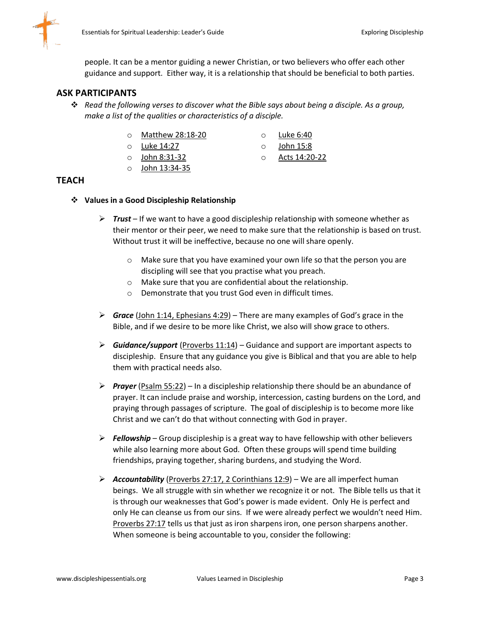

people. It can be a mentor guiding a newer Christian, or two believers who offer each other guidance and support. Either way, it is a relationship that should be beneficial to both parties.

#### **ASK PARTICIPANTS**

- ❖ *Read the following verses to discover what the Bible says about being a disciple. As a group, make a list of the qualities or characteristics of a disciple.* 
	- o Matthew 28:18-20
	- o Luke 14:27
	- o John 8:31-32
	- o John 13:34-35
- o Luke 6:40  $\circ$  John 15:8
- o Acts 14:20-22
- 
- **TEACH**
	- ❖ **Values in a Good Discipleship Relationship**
		- ➢ *Trust* If we want to have a good discipleship relationship with someone whether as their mentor or their peer, we need to make sure that the relationship is based on trust. Without trust it will be ineffective, because no one will share openly.
			- o Make sure that you have examined your own life so that the person you are discipling will see that you practise what you preach.
			- o Make sure that you are confidential about the relationship.
			- o Demonstrate that you trust God even in difficult times.
		- ➢ *Grace* (John 1:14, Ephesians 4:29) There are many examples of God's grace in the Bible, and if we desire to be more like Christ, we also will show grace to others.
		- ➢ *Guidance/support* (Proverbs 11:14) Guidance and support are important aspects to discipleship. Ensure that any guidance you give is Biblical and that you are able to help them with practical needs also.
		- ➢ *Prayer* (Psalm 55:22) In a discipleship relationship there should be an abundance of prayer. It can include praise and worship, intercession, casting burdens on the Lord, and praying through passages of scripture. The goal of discipleship is to become more like Christ and we can't do that without connecting with God in prayer.
		- ➢ *Fellowship* Group discipleship is a great way to have fellowship with other believers while also learning more about God. Often these groups will spend time building friendships, praying together, sharing burdens, and studying the Word.
		- ➢ *Accountability* (Proverbs 27:17, 2 Corinthians 12:9) We are all imperfect human beings. We all struggle with sin whether we recognize it or not. The Bible tells us that it is through our weaknesses that God's power is made evident. Only He is perfect and only He can cleanse us from our sins. If we were already perfect we wouldn't need Him. Proverbs 27:17 tells us that just as iron sharpens iron, one person sharpens another. When someone is being accountable to you, consider the following: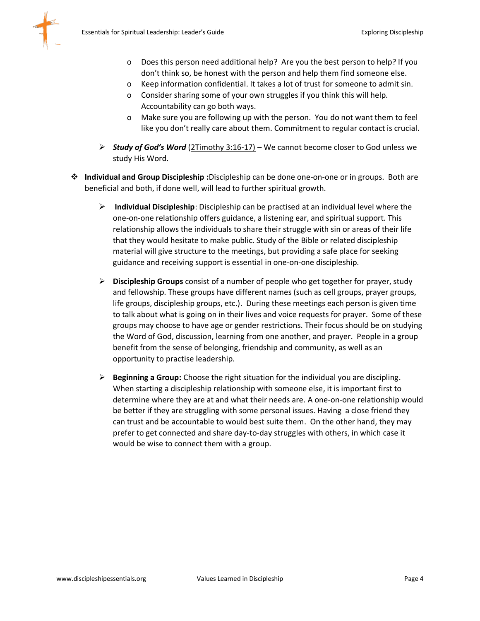

- o Does this person need additional help? Are you the best person to help? If you don't think so, be honest with the person and help them find someone else.
- o Keep information confidential. It takes a lot of trust for someone to admit sin.
- o Consider sharing some of your own struggles if you think this will help. Accountability can go both ways.
- o Make sure you are following up with the person. You do not want them to feel like you don't really care about them. Commitment to regular contact is crucial.
- ➢ *Study of God's Word* (2Timothy 3:16-17) We cannot become closer to God unless we study His Word.
- ❖ **Individual and Group Discipleship :**Discipleship can be done one-on-one or in groups. Both are beneficial and both, if done well, will lead to further spiritual growth.
	- ➢ **Individual Discipleship**: Discipleship can be practised at an individual level where the one-on-one relationship offers guidance, a listening ear, and spiritual support. This relationship allows the individuals to share their struggle with sin or areas of their life that they would hesitate to make public. Study of the Bible or related discipleship material will give structure to the meetings, but providing a safe place for seeking guidance and receiving support is essential in one-on-one discipleship.
	- ➢ **Discipleship Groups** consist of a number of people who get together for prayer, study and fellowship. These groups have different names (such as cell groups, prayer groups, life groups, discipleship groups, etc.). During these meetings each person is given time to talk about what is going on in their lives and voice requests for prayer. Some of these groups may choose to have age or gender restrictions. Their focus should be on studying the Word of God, discussion, learning from one another, and prayer. People in a group benefit from the sense of belonging, friendship and community, as well as an opportunity to practise leadership.
	- ➢ **Beginning a Group:** Choose the right situation for the individual you are discipling. When starting a discipleship relationship with someone else, it is important first to determine where they are at and what their needs are. A one-on-one relationship would be better if they are struggling with some personal issues. Having a close friend they can trust and be accountable to would best suite them. On the other hand, they may prefer to get connected and share day-to-day struggles with others, in which case it would be wise to connect them with a group.